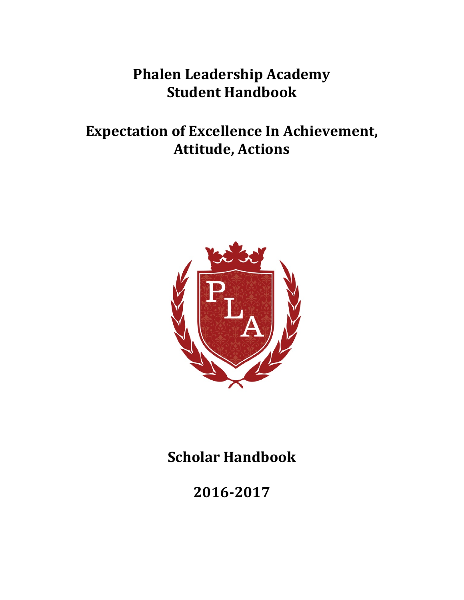# **Phalen Leadership Academy Student Handbook**

# **Expectation of Excellence In Achievement, Attitude, Actions**



**Scholar Handbook**

**2016-2017**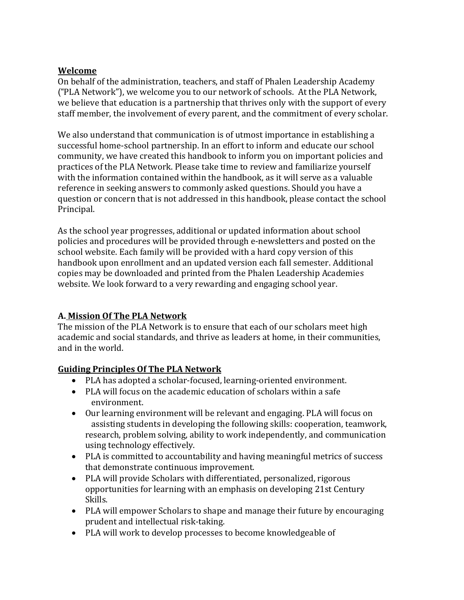#### **Welcome**

On behalf of the administration, teachers, and staff of Phalen Leadership Academy ("PLA Network"), we welcome you to our network of schools. At the PLA Network, we believe that education is a partnership that thrives only with the support of every staff member, the involvement of every parent, and the commitment of every scholar.

We also understand that communication is of utmost importance in establishing a successful home-school partnership. In an effort to inform and educate our school community, we have created this handbook to inform you on important policies and practices of the PLA Network. Please take time to review and familiarize yourself with the information contained within the handbook, as it will serve as a valuable reference in seeking answers to commonly asked questions. Should you have a question or concern that is not addressed in this handbook, please contact the school Principal.

As the school year progresses, additional or updated information about school policies and procedures will be provided through e-newsletters and posted on the school website. Each family will be provided with a hard copy version of this handbook upon enrollment and an updated version each fall semester. Additional copies may be downloaded and printed from the Phalen Leadership Academies website. We look forward to a very rewarding and engaging school year.

# **A. Mission Of The PLA Network**

The mission of the PLA Network is to ensure that each of our scholars meet high academic and social standards, and thrive as leaders at home, in their communities, and in the world.

# **Guiding Principles Of The PLA Network**

- PLA has adopted a scholar-focused, learning-oriented environment.
- PLA will focus on the academic education of scholars within a safe environment.
- Our learning environment will be relevant and engaging. PLA will focus on assisting students in developing the following skills: cooperation, teamwork, research, problem solving, ability to work independently, and communication using technology effectively.
- PLA is committed to accountability and having meaningful metrics of success that demonstrate continuous improvement.
- PLA will provide Scholars with differentiated, personalized, rigorous opportunities for learning with an emphasis on developing 21st Century Skills.
- PLA will empower Scholars to shape and manage their future by encouraging prudent and intellectual risk-taking.
- PLA will work to develop processes to become knowledgeable of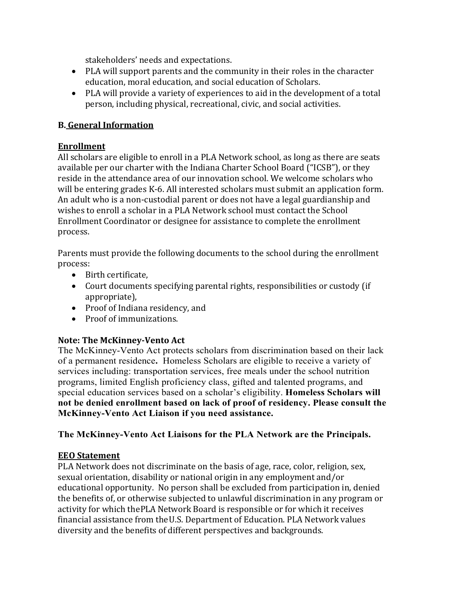stakeholders' needs and expectations.

- PLA will support parents and the community in their roles in the character education, moral education, and social education of Scholars.
- PLA will provide a variety of experiences to aid in the development of a total person, including physical, recreational, civic, and social activities.

# **B. General Information**

# **Enrollment**

All scholars are eligible to enroll in a PLA Network school, as long as there are seats available per our charter with the Indiana Charter School Board ("ICSB"), or they reside in the attendance area of our innovation school. We welcome scholars who will be entering grades K-6. All interested scholars must submit an application form. An adult who is a non-custodial parent or does not have a legal guardianship and wishes to enroll a scholar in a PLA Network school must contact the School Enrollment Coordinator or designee for assistance to complete the enrollment process.

Parents must provide the following documents to the school during the enrollment process:

- Birth certificate,
- Court documents specifying parental rights, responsibilities or custody (if appropriate),
- Proof of Indiana residency, and
- Proof of immunizations.

# **Note: The McKinney-Vento Act**

The McKinney-Vento Act protects scholars from discrimination based on their lack of a permanent residence**.** Homeless Scholars are eligible to receive a variety of services including: transportation services, free meals under the school nutrition programs, limited English proficiency class, gifted and talented programs, and special education services based on a scholar's eligibility. **Homeless Scholars will not be denied enrollment based on lack of proof of residency. Please consult the McKinney-Vento Act Liaison if you need assistance.**

# **The McKinney-Vento Act Liaisons for the PLA Network are the Principals.**

# **EEO Statement**

PLA Network does not discriminate on the basis of age, race, color, religion, sex, sexual orientation, disability or national origin in any employment and/or educational opportunity. No person shall be excluded from participation in, denied the benefits of, or otherwise subjected to unlawful discrimination in any program or activity for which thePLA Network Board is responsible or for which it receives financial assistance from theU.S. Department of Education. PLA Network values diversity and the benefits of different perspectives and backgrounds.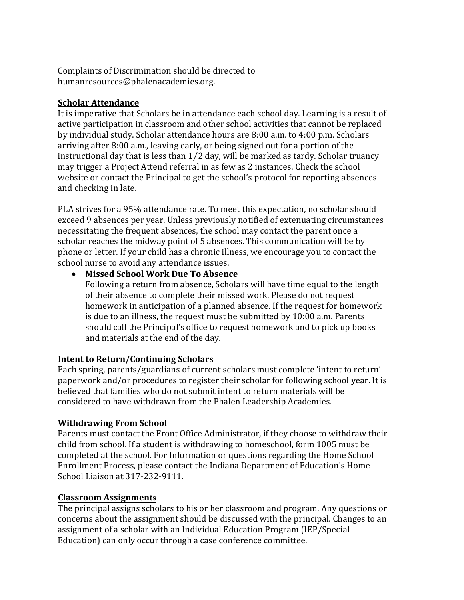Complaints of Discrimination should be directed to humanresources@phalenacademies.org.

# **Scholar Attendance**

It is imperative that Scholars be in attendance each school day. Learning is a result of active participation in classroom and other school activities that cannot be replaced by individual study. Scholar attendance hours are 8:00 a.m. to 4:00 p.m. Scholars arriving after 8:00 a.m., leaving early, or being signed out for a portion of the instructional day that is less than 1⁄2 day, will be marked as tardy. Scholar truancy may trigger a Project Attend referral in as few as 2 instances. Check the school website or contact the Principal to get the school's protocol for reporting absences and checking in late.

PLA strives for a 95% attendance rate. To meet this expectation, no scholar should exceed 9 absences per year. Unless previously notified of extenuating circumstances necessitating the frequent absences, the school may contact the parent once a scholar reaches the midway point of 5 absences. This communication will be by phone or letter. If your child has a chronic illness, we encourage you to contact the school nurse to avoid any attendance issues.

• **Missed School Work Due To Absence**

Following a return from absence, Scholars will have time equal to the length of their absence to complete their missed work. Please do not request homework in anticipation of a planned absence. If the request for homework is due to an illness, the request must be submitted by 10:00 a.m. Parents should call the Principal's office to request homework and to pick up books and materials at the end of the day.

# **Intent to Return/Continuing Scholars**

Each spring, parents/guardians of current scholars must complete 'intent to return' paperwork and/or procedures to register their scholar for following school year. It is believed that families who do not submit intent to return materials will be considered to have withdrawn from the Phalen Leadership Academies.

# **Withdrawing From School**

Parents must contact the Front Office Administrator, if they choose to withdraw their child from school. If a student is withdrawing to homeschool, form 1005 must be completed at the school. For Information or questions regarding the Home School Enrollment Process, please contact the Indiana Department of Education's Home School Liaison at 317-232-9111.

# **Classroom Assignments**

The principal assigns scholars to his or her classroom and program. Any questions or concerns about the assignment should be discussed with the principal. Changes to an assignment of a scholar with an Individual Education Program (IEP/Special Education) can only occur through a case conference committee.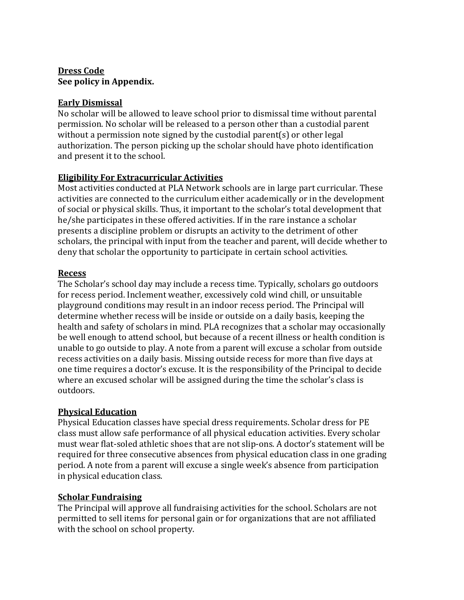#### **Dress Code See policy in Appendix.**

# **Early Dismissal**

No scholar will be allowed to leave school prior to dismissal time without parental permission. No scholar will be released to a person other than a custodial parent without a permission note signed by the custodial parent(s) or other legal authorization. The person picking up the scholar should have photo identification and present it to the school.

# **Eligibility For Extracurricular Activities**

Most activities conducted at PLA Network schools are in large part curricular. These activities are connected to the curriculum either academically or in the development of social or physical skills. Thus, it important to the scholar's total development that he/she participates in these offered activities. If in the rare instance a scholar presents a discipline problem or disrupts an activity to the detriment of other scholars, the principal with input from the teacher and parent, will decide whether to deny that scholar the opportunity to participate in certain school activities.

# **Recess**

The Scholar's school day may include a recess time. Typically, scholars go outdoors for recess period. Inclement weather, excessively cold wind chill, or unsuitable playground conditions may result in an indoor recess period. The Principal will determine whether recess will be inside or outside on a daily basis, keeping the health and safety of scholars in mind. PLA recognizes that a scholar may occasionally be well enough to attend school, but because of a recent illness or health condition is unable to go outside to play. A note from a parent will excuse a scholar from outside recess activities on a daily basis. Missing outside recess for more than five days at one time requires a doctor's excuse. It is the responsibility of the Principal to decide where an excused scholar will be assigned during the time the scholar's class is outdoors.

# **Physical Education**

Physical Education classes have special dress requirements. Scholar dress for PE class must allow safe performance of all physical education activities. Every scholar must wear flat-soled athletic shoes that are not slip-ons. A doctor's statement will be required for three consecutive absences from physical education class in one grading period. A note from a parent will excuse a single week's absence from participation in physical education class.

# **Scholar Fundraising**

The Principal will approve all fundraising activities for the school. Scholars are not permitted to sell items for personal gain or for organizations that are not affiliated with the school on school property.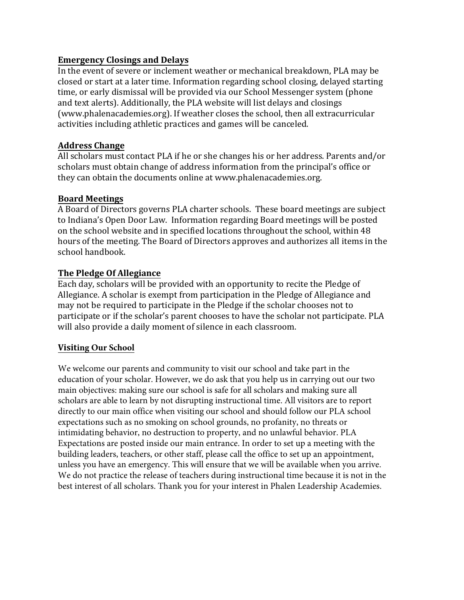#### **Emergency Closings and Delays**

In the event of severe or inclement weather or mechanical breakdown, PLA may be closed or start at a later time. Information regarding school closing, delayed starting time, or early dismissal will be provided via our School Messenger system (phone and text alerts). Additionally, the PLA website will list delays and closings (www.phalenacademies.org). If weather closes the school, then all extracurricular activities including athletic practices and games will be canceled.

#### **Address Change**

All scholars must contact PLA if he or she changes his or her address. Parents and/or scholars must obtain change of address information from the principal's office or they can obtain the documents online at www.phalenacademies.org.

#### **Board Meetings**

A Board of Directors governs PLA charter schools. These board meetings are subject to Indiana's Open Door Law. Information regarding Board meetings will be posted on the school website and in specified locations throughout the school, within 48 hours of the meeting. The Board of Directors approves and authorizes all items in the school handbook.

# **The Pledge Of Allegiance**

Each day, scholars will be provided with an opportunity to recite the Pledge of Allegiance. A scholar is exempt from participation in the Pledge of Allegiance and may not be required to participate in the Pledge if the scholar chooses not to participate or if the scholar's parent chooses to have the scholar not participate. PLA will also provide a daily moment of silence in each classroom.

#### **Visiting Our School**

We welcome our parents and community to visit our school and take part in the education of your scholar. However, we do ask that you help us in carrying out our two main objectives: making sure our school is safe for all scholars and making sure all scholars are able to learn by not disrupting instructional time. All visitors are to report directly to our main office when visiting our school and should follow our PLA school expectations such as no smoking on school grounds, no profanity, no threats or intimidating behavior, no destruction to property, and no unlawful behavior. PLA Expectations are posted inside our main entrance. In order to set up a meeting with the building leaders, teachers, or other staff, please call the office to set up an appointment, unless you have an emergency. This will ensure that we will be available when you arrive. We do not practice the release of teachers during instructional time because it is not in the best interest of all scholars. Thank you for your interest in Phalen Leadership Academies.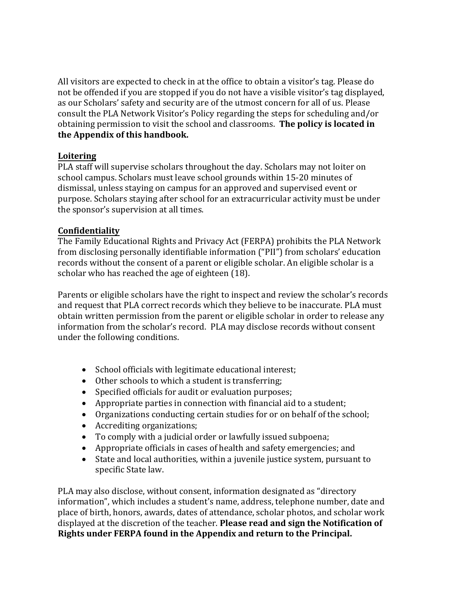All visitors are expected to check in at the office to obtain a visitor's tag. Please do not be offended if you are stopped if you do not have a visible visitor's tag displayed, as our Scholars' safety and security are of the utmost concern for all of us. Please consult the PLA Network Visitor's Policy regarding the steps for scheduling and/or obtaining permission to visit the school and classrooms. **The policy is located in the Appendix of this handbook.** 

#### **Loitering**

PLA staff will supervise scholars throughout the day. Scholars may not loiter on school campus. Scholars must leave school grounds within 15-20 minutes of dismissal, unless staying on campus for an approved and supervised event or purpose. Scholars staying after school for an extracurricular activity must be under the sponsor's supervision at all times.

#### **Confidentiality**

The Family Educational Rights and Privacy Act (FERPA) prohibits the PLA Network from disclosing personally identifiable information ("PII") from scholars' education records without the consent of a parent or eligible scholar. An eligible scholar is a scholar who has reached the age of eighteen (18).

Parents or eligible scholars have the right to inspect and review the scholar's records and request that PLA correct records which they believe to be inaccurate. PLA must obtain written permission from the parent or eligible scholar in order to release any information from the scholar's record. PLA may disclose records without consent under the following conditions.

- School officials with legitimate educational interest;
- Other schools to which a student is transferring;
- Specified officials for audit or evaluation purposes;
- Appropriate parties in connection with financial aid to a student;
- Organizations conducting certain studies for or on behalf of the school;
- Accrediting organizations;
- To comply with a judicial order or lawfully issued subpoena;
- Appropriate officials in cases of health and safety emergencies; and
- State and local authorities, within a juvenile justice system, pursuant to specific State law.

PLA may also disclose, without consent, information designated as "directory information", which includes a student's name, address, telephone number, date and place of birth, honors, awards, dates of attendance, scholar photos, and scholar work displayed at the discretion of the teacher. **Please read and sign the Notification of Rights under FERPA found in the Appendix and return to the Principal.**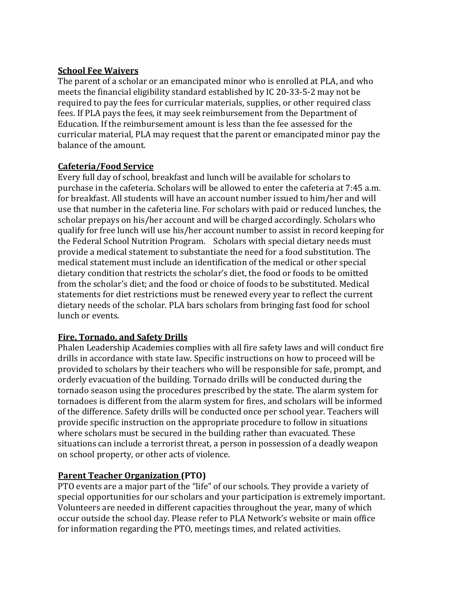#### **School Fee Waivers**

The parent of a scholar or an emancipated minor who is enrolled at PLA, and who meets the financial eligibility standard established by IC 20-33-5-2 may not be required to pay the fees for curricular materials, supplies, or other required class fees. If PLA pays the fees, it may seek reimbursement from the Department of Education. If the reimbursement amount is less than the fee assessed for the curricular material, PLA may request that the parent or emancipated minor pay the balance of the amount.

#### **Cafeteria/Food Service**

Every full day of school, breakfast and lunch will be available for scholars to purchase in the cafeteria. Scholars will be allowed to enter the cafeteria at 7:45 a.m. for breakfast. All students will have an account number issued to him/her and will use that number in the cafeteria line. For scholars with paid or reduced lunches, the scholar prepays on his/her account and will be charged accordingly. Scholars who qualify for free lunch will use his/her account number to assist in record keeping for the Federal School Nutrition Program. Scholars with special dietary needs must provide a medical statement to substantiate the need for a food substitution. The medical statement must include an identification of the medical or other special dietary condition that restricts the scholar's diet, the food or foods to be omitted from the scholar's diet; and the food or choice of foods to be substituted. Medical statements for diet restrictions must be renewed every year to reflect the current dietary needs of the scholar. PLA bars scholars from bringing fast food for school lunch or events.

# **Fire, Tornado, and Safety Drills**

Phalen Leadership Academies complies with all fire safety laws and will conduct fire drills in accordance with state law. Specific instructions on how to proceed will be provided to scholars by their teachers who will be responsible for safe, prompt, and orderly evacuation of the building. Tornado drills will be conducted during the tornado season using the procedures prescribed by the state. The alarm system for tornadoes is different from the alarm system for fires, and scholars will be informed of the difference. Safety drills will be conducted once per school year. Teachers will provide specific instruction on the appropriate procedure to follow in situations where scholars must be secured in the building rather than evacuated. These situations can include a terrorist threat, a person in possession of a deadly weapon on school property, or other acts of violence.

# **Parent Teacher Organization (PTO)**

PTO events are a major part of the "life" of our schools. They provide a variety of special opportunities for our scholars and your participation is extremely important. Volunteers are needed in different capacities throughout the year, many of which occur outside the school day. Please refer to PLA Network's website or main office for information regarding the PTO, meetings times, and related activities.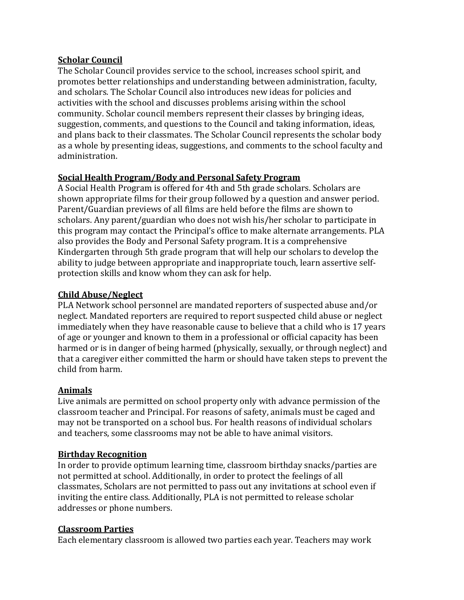#### **Scholar Council**

The Scholar Council provides service to the school, increases school spirit, and promotes better relationships and understanding between administration, faculty, and scholars. The Scholar Council also introduces new ideas for policies and activities with the school and discusses problems arising within the school community. Scholar council members represent their classes by bringing ideas, suggestion, comments, and questions to the Council and taking information, ideas, and plans back to their classmates. The Scholar Council represents the scholar body as a whole by presenting ideas, suggestions, and comments to the school faculty and administration.

# **Social Health Program/Body and Personal Safety Program**

A Social Health Program is offered for 4th and 5th grade scholars. Scholars are shown appropriate films for their group followed by a question and answer period. Parent/Guardian previews of all films are held before the films are shown to scholars. Any parent/guardian who does not wish his/her scholar to participate in this program may contact the Principal's office to make alternate arrangements. PLA also provides the Body and Personal Safety program. It is a comprehensive Kindergarten through 5th grade program that will help our scholars to develop the ability to judge between appropriate and inappropriate touch, learn assertive selfprotection skills and know whom they can ask for help.

#### **Child Abuse/Neglect**

PLA Network school personnel are mandated reporters of suspected abuse and/or neglect. Mandated reporters are required to report suspected child abuse or neglect immediately when they have reasonable cause to believe that a child who is 17 years of age or younger and known to them in a professional or official capacity has been harmed or is in danger of being harmed (physically, sexually, or through neglect) and that a caregiver either committed the harm or should have taken steps to prevent the child from harm.

#### **Animals**

Live animals are permitted on school property only with advance permission of the classroom teacher and Principal. For reasons of safety, animals must be caged and may not be transported on a school bus. For health reasons of individual scholars and teachers, some classrooms may not be able to have animal visitors.

# **Birthday Recognition**

In order to provide optimum learning time, classroom birthday snacks/parties are not permitted at school. Additionally, in order to protect the feelings of all classmates, Scholars are not permitted to pass out any invitations at school even if inviting the entire class. Additionally, PLA is not permitted to release scholar addresses or phone numbers.

# **Classroom Parties**

Each elementary classroom is allowed two parties each year. Teachers may work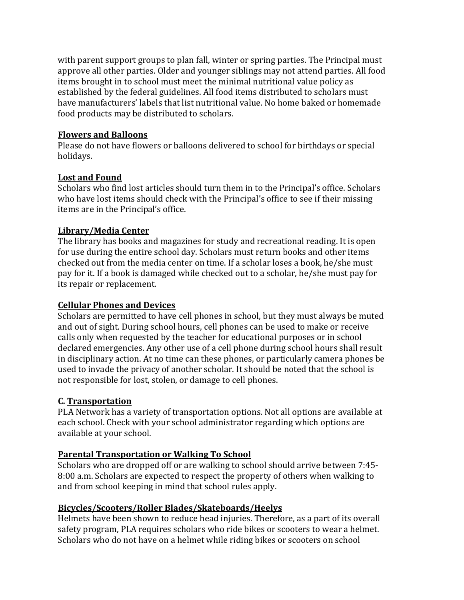with parent support groups to plan fall, winter or spring parties. The Principal must approve all other parties. Older and younger siblings may not attend parties. All food items brought in to school must meet the minimal nutritional value policy as established by the federal guidelines. All food items distributed to scholars must have manufacturers' labels that list nutritional value. No home baked or homemade food products may be distributed to scholars.

#### **Flowers and Balloons**

Please do not have flowers or balloons delivered to school for birthdays or special holidays.

#### **Lost and Found**

Scholars who find lost articles should turn them in to the Principal's office. Scholars who have lost items should check with the Principal's office to see if their missing items are in the Principal's office.

# **Library/Media Center**

The library has books and magazines for study and recreational reading. It is open for use during the entire school day. Scholars must return books and other items checked out from the media center on time. If a scholar loses a book, he/she must pay for it. If a book is damaged while checked out to a scholar, he/she must pay for its repair or replacement.

#### **Cellular Phones and Devices**

Scholars are permitted to have cell phones in school, but they must always be muted and out of sight. During school hours, cell phones can be used to make or receive calls only when requested by the teacher for educational purposes or in school declared emergencies. Any other use of a cell phone during school hours shall result in disciplinary action. At no time can these phones, or particularly camera phones be used to invade the privacy of another scholar. It should be noted that the school is not responsible for lost, stolen, or damage to cell phones.

# **C. Transportation**

PLA Network has a variety of transportation options. Not all options are available at each school. Check with your school administrator regarding which options are available at your school.

# **Parental Transportation or Walking To School**

Scholars who are dropped off or are walking to school should arrive between 7:45- 8:00 a.m. Scholars are expected to respect the property of others when walking to and from school keeping in mind that school rules apply.

# **Bicycles/Scooters/Roller Blades/Skateboards/Heelys**

Helmets have been shown to reduce head injuries. Therefore, as a part of its overall safety program, PLA requires scholars who ride bikes or scooters to wear a helmet. Scholars who do not have on a helmet while riding bikes or scooters on school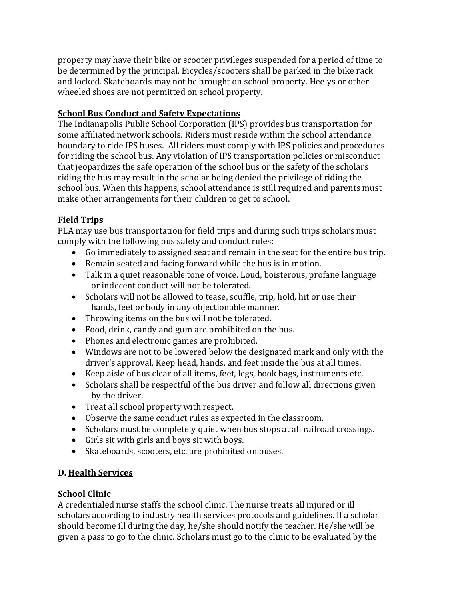property may have their bike or scooter privileges suspended for a period of time to be determined by the principal. Bicycles/scooters shall be parked in the bike rack and locked. Skateboards may not be brought on school property. Heelys or other wheeled shoes are not permitted on school property.

# **School Bus Conduct and Safety Expectations**

The Indianapolis Public School Corporation (IPS) provides bus transportation for some affiliated network schools. Riders must reside within the school attendance boundary to ride IPS buses. All riders must comply with IPS policies and procedures for riding the school bus. Any violation of IPS transportation policies or misconduct that jeopardizes the safe operation of the school bus or the safety of the scholars riding the bus may result in the scholar being denied the privilege of riding the school bus. When this happens, school attendance is still required and parents must make other arrangements for their children to get to school.

# **Field Trips**

PLA may use bus transportation for field trips and during such trips scholars must comply with the following bus safety and conduct rules:

- Go immediately to assigned seat and remain in the seat for the entire bus trip.
- Remain seated and facing forward while the bus is in motion.
- Talk in a quiet reasonable tone of voice. Loud, boisterous, profane language or indecent conduct will not be tolerated.
- Scholars will not be allowed to tease, scuffle, trip, hold, hit or use their hands, feet or body in any objectionable manner.
- Throwing items on the bus will not be tolerated.
- Food, drink, candy and gum are prohibited on the bus.
- Phones and electronic games are prohibited.
- Windows are not to be lowered below the designated mark and only with the driver's approval. Keep head, hands, and feet inside the bus at all times.
- Keep aisle of bus clear of all items, feet, legs, book bags, instruments etc.
- Scholars shall be respectful of the bus driver and follow all directions given by the driver.
- Treat all school property with respect.
- Observe the same conduct rules as expected in the classroom.
- Scholars must be completely quiet when bus stops at all railroad crossings.
- Girls sit with girls and boys sit with boys.
- Skateboards, scooters, etc. are prohibited on buses.

# **D. Health Services**

# **School Clinic**

A credentialed nurse staffs the school clinic. The nurse treats all injured or ill scholars according to industry health services protocols and guidelines. If a scholar should become ill during the day, he/she should notify the teacher. He/she will be given a pass to go to the clinic. Scholars must go to the clinic to be evaluated by the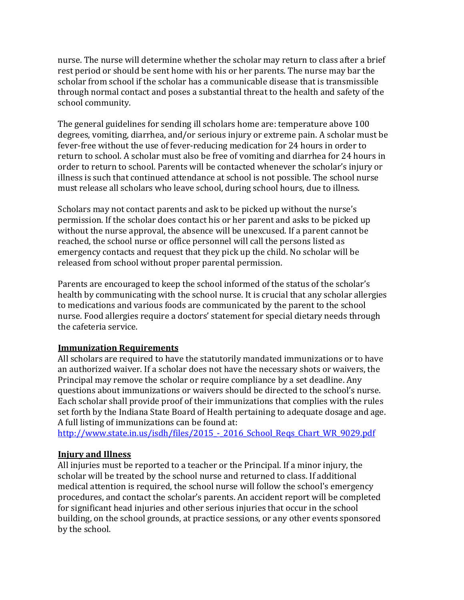nurse. The nurse will determine whether the scholar may return to class after a brief rest period or should be sent home with his or her parents. The nurse may bar the scholar from school if the scholar has a communicable disease that is transmissible through normal contact and poses a substantial threat to the health and safety of the school community.

The general guidelines for sending ill scholars home are: temperature above 100 degrees, vomiting, diarrhea, and/or serious injury or extreme pain. A scholar must be fever-free without the use of fever-reducing medication for 24 hours in order to return to school. A scholar must also be free of vomiting and diarrhea for 24 hours in order to return to school. Parents will be contacted whenever the scholar's injury or illness is such that continued attendance at school is not possible. The school nurse must release all scholars who leave school, during school hours, due to illness.

Scholars may not contact parents and ask to be picked up without the nurse's permission. If the scholar does contact his or her parent and asks to be picked up without the nurse approval, the absence will be unexcused. If a parent cannot be reached, the school nurse or office personnel will call the persons listed as emergency contacts and request that they pick up the child. No scholar will be released from school without proper parental permission.

Parents are encouraged to keep the school informed of the status of the scholar's health by communicating with the school nurse. It is crucial that any scholar allergies to medications and various foods are communicated by the parent to the school nurse. Food allergies require a doctors' statement for special dietary needs through the cafeteria service.

#### **Immunization Requirements**

All scholars are required to have the statutorily mandated immunizations or to have an authorized waiver. If a scholar does not have the necessary shots or waivers, the Principal may remove the scholar or require compliance by a set deadline. Any questions about immunizations or waivers should be directed to the school's nurse. Each scholar shall provide proof of their immunizations that complies with the rules set forth by the Indiana State Board of Health pertaining to adequate dosage and age. A full listing of immunizations can be found at:

http://www.state.in.us/isdh/files/2015 - 2016 School Reqs Chart WR 9029.pdf

# **Injury and Illness**

All injuries must be reported to a teacher or the Principal. If a minor injury, the scholar will be treated by the school nurse and returned to class. If additional medical attention is required, the school nurse will follow the school's emergency procedures, and contact the scholar's parents. An accident report will be completed for significant head injuries and other serious injuries that occur in the school building, on the school grounds, at practice sessions, or any other events sponsored by the school.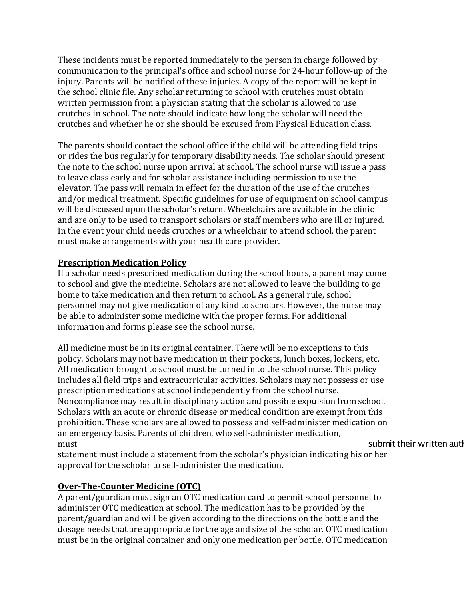These incidents must be reported immediately to the person in charge followed by communication to the principal's office and school nurse for 24-hour follow-up of the injury. Parents will be notified of these injuries. A copy of the report will be kept in the school clinic file. Any scholar returning to school with crutches must obtain written permission from a physician stating that the scholar is allowed to use crutches in school. The note should indicate how long the scholar will need the crutches and whether he or she should be excused from Physical Education class.

The parents should contact the school office if the child will be attending field trips or rides the bus regularly for temporary disability needs. The scholar should present the note to the school nurse upon arrival at school. The school nurse will issue a pass to leave class early and for scholar assistance including permission to use the elevator. The pass will remain in effect for the duration of the use of the crutches and/or medical treatment. Specific guidelines for use of equipment on school campus will be discussed upon the scholar's return. Wheelchairs are available in the clinic and are only to be used to transport scholars or staff members who are ill or injured. In the event your child needs crutches or a wheelchair to attend school, the parent must make arrangements with your health care provider.

#### **Prescription Medication Policy**

If a scholar needs prescribed medication during the school hours, a parent may come to school and give the medicine. Scholars are not allowed to leave the building to go home to take medication and then return to school. As a general rule, school personnel may not give medication of any kind to scholars. However, the nurse may be able to administer some medicine with the proper forms. For additional information and forms please see the school nurse.

All medicine must be in its original container. There will be no exceptions to this policy. Scholars may not have medication in their pockets, lunch boxes, lockers, etc. All medication brought to school must be turned in to the school nurse. This policy includes all field trips and extracurricular activities. Scholars may not possess or use prescription medications at school independently from the school nurse. Noncompliance may result in disciplinary action and possible expulsion from school. Scholars with an acute or chronic disease or medical condition are exempt from this prohibition. These scholars are allowed to possess and self-administer medication on an emergency basis. Parents of children, who self-administer medication, must submit their written authority is a submit their written authority in the submit their written authority

statement must include a statement from the scholar's physician indicating his or her approval for the scholar to self-administer the medication.

# **Over-The-Counter Medicine (OTC)**

A parent/guardian must sign an OTC medication card to permit school personnel to administer OTC medication at school. The medication has to be provided by the parent/guardian and will be given according to the directions on the bottle and the dosage needs that are appropriate for the age and size of the scholar. OTC medication must be in the original container and only one medication per bottle. OTC medication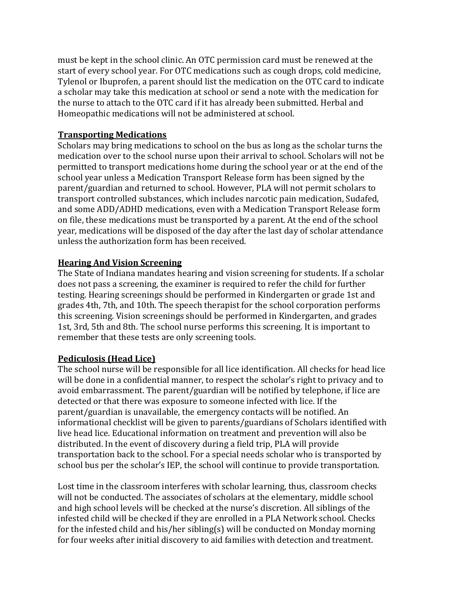must be kept in the school clinic. An OTC permission card must be renewed at the start of every school year. For OTC medications such as cough drops, cold medicine, Tylenol or Ibuprofen, a parent should list the medication on the OTC card to indicate a scholar may take this medication at school or send a note with the medication for the nurse to attach to the OTC card if it has already been submitted. Herbal and Homeopathic medications will not be administered at school.

#### **Transporting Medications**

Scholars may bring medications to school on the bus as long as the scholar turns the medication over to the school nurse upon their arrival to school. Scholars will not be permitted to transport medications home during the school year or at the end of the school year unless a Medication Transport Release form has been signed by the parent/guardian and returned to school. However, PLA will not permit scholars to transport controlled substances, which includes narcotic pain medication, Sudafed, and some ADD/ADHD medications, even with a Medication Transport Release form on file, these medications must be transported by a parent. At the end of the school year, medications will be disposed of the day after the last day of scholar attendance unless the authorization form has been received.

#### **Hearing And Vision Screening**

The State of Indiana mandates hearing and vision screening for students. If a scholar does not pass a screening, the examiner is required to refer the child for further testing. Hearing screenings should be performed in Kindergarten or grade 1st and grades 4th, 7th, and 10th. The speech therapist for the school corporation performs this screening. Vision screenings should be performed in Kindergarten, and grades 1st, 3rd, 5th and 8th. The school nurse performs this screening. It is important to remember that these tests are only screening tools.

# **Pediculosis (Head Lice)**

The school nurse will be responsible for all lice identification. All checks for head lice will be done in a confidential manner, to respect the scholar's right to privacy and to avoid embarrassment. The parent/guardian will be notified by telephone, if lice are detected or that there was exposure to someone infected with lice. If the parent/guardian is unavailable, the emergency contacts will be notified. An informational checklist will be given to parents/guardians of Scholars identified with live head lice. Educational information on treatment and prevention will also be distributed. In the event of discovery during a field trip, PLA will provide transportation back to the school. For a special needs scholar who is transported by school bus per the scholar's IEP, the school will continue to provide transportation.

Lost time in the classroom interferes with scholar learning, thus, classroom checks will not be conducted. The associates of scholars at the elementary, middle school and high school levels will be checked at the nurse's discretion. All siblings of the infested child will be checked if they are enrolled in a PLA Network school. Checks for the infested child and his/her sibling(s) will be conducted on Monday morning for four weeks after initial discovery to aid families with detection and treatment.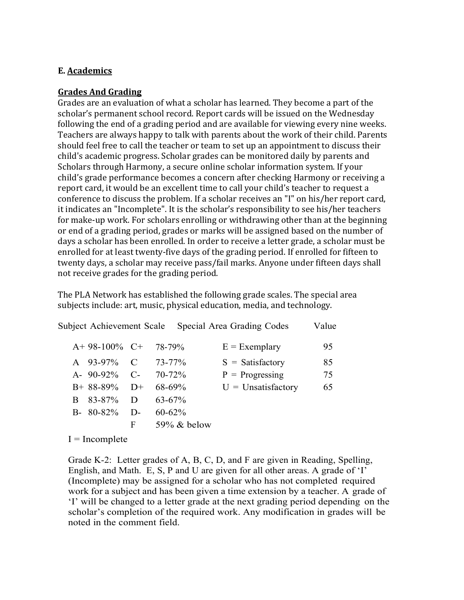#### **E. Academics**

#### **Grades And Grading**

Grades are an evaluation of what a scholar has learned. They become a part of the scholar's permanent school record. Report cards will be issued on the Wednesday following the end of a grading period and are available for viewing every nine weeks. Teachers are always happy to talk with parents about the work of their child. Parents should feel free to call the teacher or team to set up an appointment to discuss their child's academic progress. Scholar grades can be monitored daily by parents and Scholars through Harmony, a secure online scholar information system. If your child's grade performance becomes a concern after checking Harmony or receiving a report card, it would be an excellent time to call your child's teacher to request a conference to discuss the problem. If a scholar receives an "I" on his/her report card, it indicates an "Incomplete". It is the scholar's responsibility to see his/her teachers for make-up work. For scholars enrolling or withdrawing other than at the beginning or end of a grading period, grades or marks will be assigned based on the number of days a scholar has been enrolled. In order to receive a letter grade, a scholar must be enrolled for at least twenty-five days of the grading period. If enrolled for fifteen to twenty days, a scholar may receive pass/fail marks. Anyone under fifteen days shall not receive grades for the grading period.

The PLA Network has established the following grade scales. The special area subjects include: art, music, physical education, media, and technology.

|              | <b>Subject Achievement Scale</b> |       |                | Special Area Grading Codes | Value |
|--------------|----------------------------------|-------|----------------|----------------------------|-------|
|              | $A+98-100\%$ C+                  |       | 78-79%         | $E = Exemplary$            | 95    |
|              | A 93-97% C                       |       | $73 - 77\%$    | $S = Satisfactory$         | 85    |
|              | A- $90-92\%$ C-                  |       | $70 - 72\%$    | $P =$ Progressing          | 75    |
|              | $B+88-89\%$                      | $D+$  | $68-69\%$      | $U =$ Unsatisfactory       | 65    |
| <sub>R</sub> | 83-87%                           | D     | $63 - 67\%$    |                            |       |
|              | $B-80-82\%$                      | $D$ - | $60 - 62\%$    |                            |       |
|              |                                  | F     | $59\%$ & below |                            |       |

 $I = Incomplete$ 

Grade K-2: Letter grades of A, B, C, D, and F are given in Reading, Spelling, English, and Math. E, S, P and U are given for all other areas. A grade of 'I' (Incomplete) may be assigned for a scholar who has not completed required work for a subject and has been given a time extension by a teacher. A grade of 'I' will be changed to a letter grade at the next grading period depending on the scholar's completion of the required work. Any modification in grades will be noted in the comment field.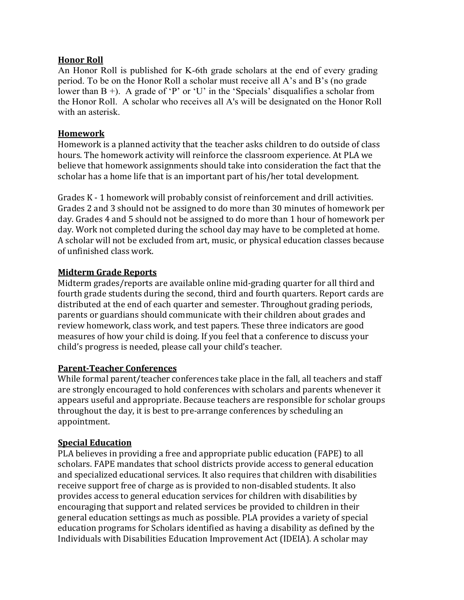#### **Honor Roll**

An Honor Roll is published for K-6th grade scholars at the end of every grading period. To be on the Honor Roll a scholar must receive all A's and B's (no grade lower than  $B +$ ). A grade of 'P' or 'U' in the 'Specials' disqualifies a scholar from the Honor Roll. A scholar who receives all A's will be designated on the Honor Roll with an asterisk.

#### **Homework**

Homework is a planned activity that the teacher asks children to do outside of class hours. The homework activity will reinforce the classroom experience. At PLA we believe that homework assignments should take into consideration the fact that the scholar has a home life that is an important part of his/her total development.

Grades K - 1 homework will probably consist of reinforcement and drill activities. Grades 2 and 3 should not be assigned to do more than 30 minutes of homework per day. Grades 4 and 5 should not be assigned to do more than 1 hour of homework per day. Work not completed during the school day may have to be completed at home. A scholar will not be excluded from art, music, or physical education classes because of unfinished class work.

# **Midterm Grade Reports**

Midterm grades/reports are available online mid-grading quarter for all third and fourth grade students during the second, third and fourth quarters. Report cards are distributed at the end of each quarter and semester. Throughout grading periods, parents or guardians should communicate with their children about grades and review homework, class work, and test papers. These three indicators are good measures of how your child is doing. If you feel that a conference to discuss your child's progress is needed, please call your child's teacher.

#### **Parent-Teacher Conferences**

While formal parent/teacher conferences take place in the fall, all teachers and staff are strongly encouraged to hold conferences with scholars and parents whenever it appears useful and appropriate. Because teachers are responsible for scholar groups throughout the day, it is best to pre-arrange conferences by scheduling an appointment.

#### **Special Education**

PLA believes in providing a free and appropriate public education (FAPE) to all scholars. FAPE mandates that school districts provide access to general education and specialized educational services. It also requires that children with disabilities receive support free of charge as is provided to non-disabled students. It also provides access to general education services for children with disabilities by encouraging that support and related services be provided to children in their general education settings as much as possible. PLA provides a variety of special education programs for Scholars identified as having a disability as defined by the Individuals with Disabilities Education Improvement Act (IDEIA). A scholar may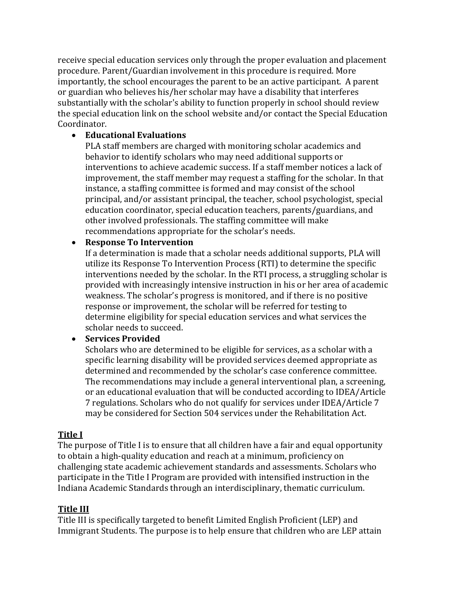receive special education services only through the proper evaluation and placement procedure. Parent/Guardian involvement in this procedure is required. More importantly, the school encourages the parent to be an active participant. A parent or guardian who believes his/her scholar may have a disability that interferes substantially with the scholar's ability to function properly in school should review the special education link on the school website and/or contact the Special Education Coordinator.

#### • **Educational Evaluations**

PLA staff members are charged with monitoring scholar academics and behavior to identify scholars who may need additional supports or interventions to achieve academic success. If a staff member notices a lack of improvement, the staff member may request a staffing for the scholar. In that instance, a staffing committee is formed and may consist of the school principal, and/or assistant principal, the teacher, school psychologist, special education coordinator, special education teachers, parents/guardians, and other involved professionals. The staffing committee will make recommendations appropriate for the scholar's needs.

#### • **Response To Intervention**

If a determination is made that a scholar needs additional supports, PLA will utilize its Response To Intervention Process (RTI) to determine the specific interventions needed by the scholar. In the RTI process, a struggling scholar is provided with increasingly intensive instruction in his or her area of academic weakness. The scholar's progress is monitored, and if there is no positive response or improvement, the scholar will be referred for testing to determine eligibility for special education services and what services the scholar needs to succeed.

#### • **Services Provided**

Scholars who are determined to be eligible for services, as a scholar with a specific learning disability will be provided services deemed appropriate as determined and recommended by the scholar's case conference committee. The recommendations may include a general interventional plan, a screening, or an educational evaluation that will be conducted according to IDEA/Article 7 regulations. Scholars who do not qualify for services under IDEA/Article 7 may be considered for Section 504 services under the Rehabilitation Act.

#### **Title I**

The purpose of Title I is to ensure that all children have a fair and equal opportunity to obtain a high-quality education and reach at a minimum, proficiency on challenging state academic achievement standards and assessments. Scholars who participate in the Title I Program are provided with intensified instruction in the Indiana Academic Standards through an interdisciplinary, thematic curriculum.

# **Title III**

Title III is specifically targeted to benefit Limited English Proficient (LEP) and Immigrant Students. The purpose is to help ensure that children who are LEP attain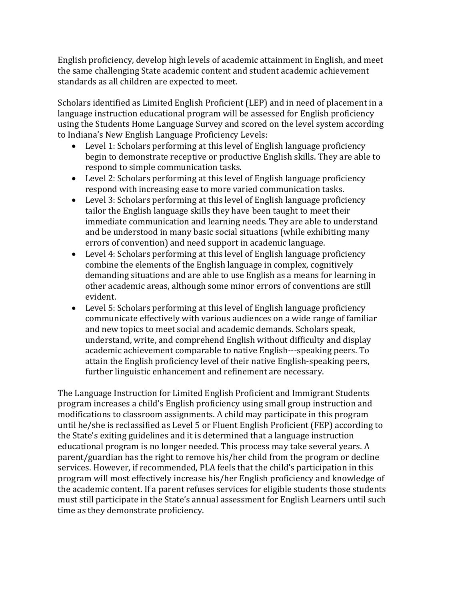English proficiency, develop high levels of academic attainment in English, and meet the same challenging State academic content and student academic achievement standards as all children are expected to meet.

Scholars identified as Limited English Proficient (LEP) and in need of placement in a language instruction educational program will be assessed for English proficiency using the Students Home Language Survey and scored on the level system according to Indiana's New English Language Proficiency Levels:

- Level 1: Scholars performing at this level of English language proficiency begin to demonstrate receptive or productive English skills. They are able to respond to simple communication tasks.
- Level 2: Scholars performing at this level of English language proficiency respond with increasing ease to more varied communication tasks.
- Level 3: Scholars performing at this level of English language proficiency tailor the English language skills they have been taught to meet their immediate communication and learning needs. They are able to understand and be understood in many basic social situations (while exhibiting many errors of convention) and need support in academic language.
- Level 4: Scholars performing at this level of English language proficiency combine the elements of the English language in complex, cognitively demanding situations and are able to use English as a means for learning in other academic areas, although some minor errors of conventions are still evident.
- Level 5: Scholars performing at this level of English language proficiency communicate effectively with various audiences on a wide range of familiar and new topics to meet social and academic demands. Scholars speak, understand, write, and comprehend English without difficulty and display academic achievement comparable to native English---speaking peers. To attain the English proficiency level of their native English-speaking peers, further linguistic enhancement and refinement are necessary.

The Language Instruction for Limited English Proficient and Immigrant Students program increases a child's English proficiency using small group instruction and modifications to classroom assignments. A child may participate in this program until he/she is reclassified as Level 5 or Fluent English Proficient (FEP) according to the State's exiting guidelines and it is determined that a language instruction educational program is no longer needed. This process may take several years. A parent/guardian has the right to remove his/her child from the program or decline services. However, if recommended, PLA feels that the child's participation in this program will most effectively increase his/her English proficiency and knowledge of the academic content. If a parent refuses services for eligible students those students must still participate in the State's annual assessment for English Learners until such time as they demonstrate proficiency.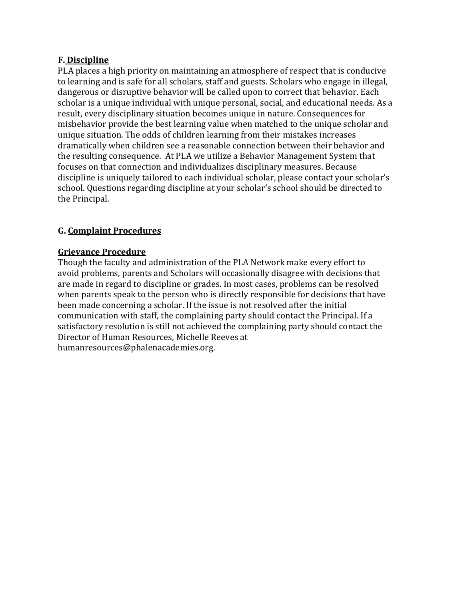#### **F. Discipline**

PLA places a high priority on maintaining an atmosphere of respect that is conducive to learning and is safe for all scholars, staff and guests. Scholars who engage in illegal, dangerous or disruptive behavior will be called upon to correct that behavior. Each scholar is a unique individual with unique personal, social, and educational needs. As a result, every disciplinary situation becomes unique in nature. Consequences for misbehavior provide the best learning value when matched to the unique scholar and unique situation. The odds of children learning from their mistakes increases dramatically when children see a reasonable connection between their behavior and the resulting consequence. At PLA we utilize a Behavior Management System that focuses on that connection and individualizes disciplinary measures. Because discipline is uniquely tailored to each individual scholar, please contact your scholar's school. Questions regarding discipline at your scholar's school should be directed to the Principal.

# **G. Complaint Procedures**

#### **Grievance Procedure**

Though the faculty and administration of the PLA Network make every effort to avoid problems, parents and Scholars will occasionally disagree with decisions that are made in regard to discipline or grades. In most cases, problems can be resolved when parents speak to the person who is directly responsible for decisions that have been made concerning a scholar. If the issue is not resolved after the initial communication with staff, the complaining party should contact the Principal. If a satisfactory resolution is still not achieved the complaining party should contact the Director of Human Resources, Michelle Reeves at humanresources@phalenacademies.org.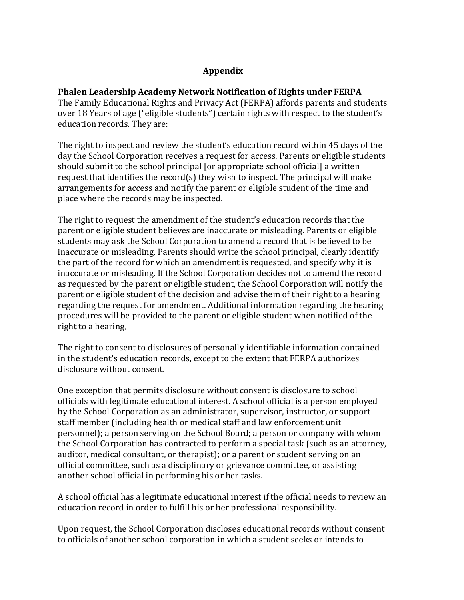#### **Appendix**

#### **Phalen Leadership Academy Network Notification of Rights under FERPA**

The Family Educational Rights and Privacy Act (FERPA) affords parents and students over 18 Years of age ("eligible students") certain rights with respect to the student's education records. They are:

The right to inspect and review the student's education record within 45 days of the day the School Corporation receives a request for access. Parents or eligible students should submit to the school principal [or appropriate school official] a written request that identifies the record(s) they wish to inspect. The principal will make arrangements for access and notify the parent or eligible student of the time and place where the records may be inspected.

The right to request the amendment of the student's education records that the parent or eligible student believes are inaccurate or misleading. Parents or eligible students may ask the School Corporation to amend a record that is believed to be inaccurate or misleading. Parents should write the school principal, clearly identify the part of the record for which an amendment is requested, and specify why it is inaccurate or misleading. If the School Corporation decides not to amend the record as requested by the parent or eligible student, the School Corporation will notify the parent or eligible student of the decision and advise them of their right to a hearing regarding the request for amendment. Additional information regarding the hearing procedures will be provided to the parent or eligible student when notified of the right to a hearing,

The right to consent to disclosures of personally identifiable information contained in the student's education records, except to the extent that FERPA authorizes disclosure without consent.

One exception that permits disclosure without consent is disclosure to school officials with legitimate educational interest. A school official is a person employed by the School Corporation as an administrator, supervisor, instructor, or support staff member (including health or medical staff and law enforcement unit personnel); a person serving on the School Board; a person or company with whom the School Corporation has contracted to perform a special task (such as an attorney, auditor, medical consultant, or therapist); or a parent or student serving on an official committee, such as a disciplinary or grievance committee, or assisting another school official in performing his or her tasks.

A school official has a legitimate educational interest if the official needs to review an education record in order to fulfill his or her professional responsibility.

Upon request, the School Corporation discloses educational records without consent to officials of another school corporation in which a student seeks or intends to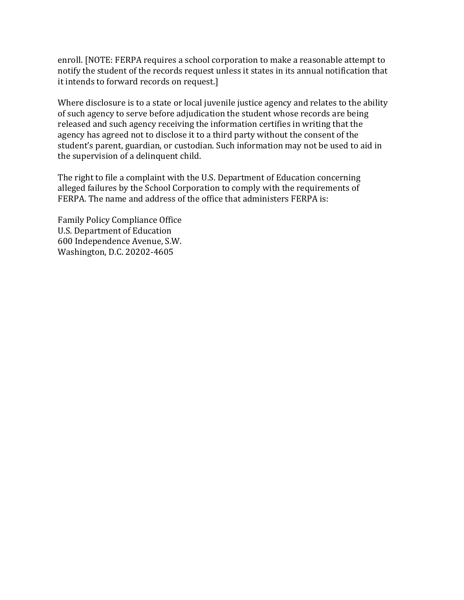enroll. [NOTE: FERPA requires a school corporation to make a reasonable attempt to notify the student of the records request unless it states in its annual notification that it intends to forward records on request.]

Where disclosure is to a state or local juvenile justice agency and relates to the ability of such agency to serve before adjudication the student whose records are being released and such agency receiving the information certifies in writing that the agency has agreed not to disclose it to a third party without the consent of the student's parent, guardian, or custodian. Such information may not be used to aid in the supervision of a delinquent child.

The right to file a complaint with the U.S. Department of Education concerning alleged failures by the School Corporation to comply with the requirements of FERPA. The name and address of the office that administers FERPA is:

Family Policy Compliance Office U.S. Department of Education 600 Independence Avenue, S.W. Washington, D.C. 20202-4605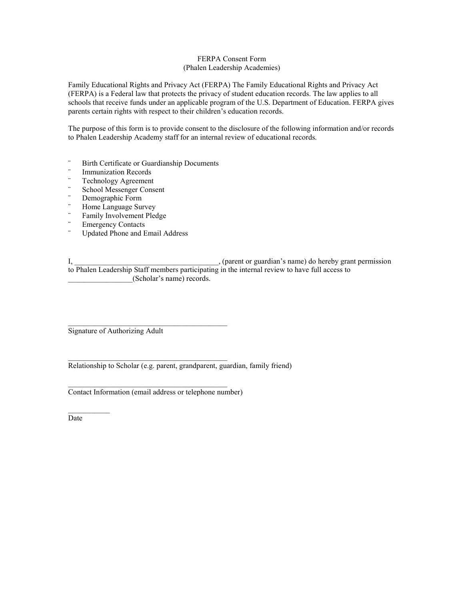#### FERPA Consent Form (Phalen Leadership Academies)

Family Educational Rights and Privacy Act (FERPA) The Family Educational Rights and Privacy Act (FERPA) is a Federal law that protects the privacy of student education records. The law applies to all schools that receive funds under an applicable program of the U.S. Department of Education. FERPA gives parents certain rights with respect to their children's education records.

The purpose of this form is to provide consent to the disclosure of the following information and/or records to Phalen Leadership Academy staff for an internal review of educational records.

- ¨ Birth Certificate or Guardianship Documents
- ¨ Immunization Records
- ¨ Technology Agreement
- ¨ School Messenger Consent
- ¨ Demographic Form
- ¨ Home Language Survey
- ¨ Family Involvement Pledge
- ¨ Emergency Contacts
- Updated Phone and Email Address

I, \_\_\_\_\_\_\_\_\_\_\_\_\_\_\_\_\_\_\_\_\_\_\_\_\_\_\_\_\_\_\_\_\_\_\_\_\_\_, (parent or guardian's name) do hereby grant permission to Phalen Leadership Staff members participating in the internal review to have full access to \_\_\_\_\_\_\_\_\_\_\_\_\_\_\_\_\_(Scholar's name) records.

Signature of Authorizing Adult

Relationship to Scholar (e.g. parent, grandparent, guardian, family friend)

Contact Information (email address or telephone number)

 $\mathcal{L}_\text{max}$  and  $\mathcal{L}_\text{max}$  and  $\mathcal{L}_\text{max}$ 

Date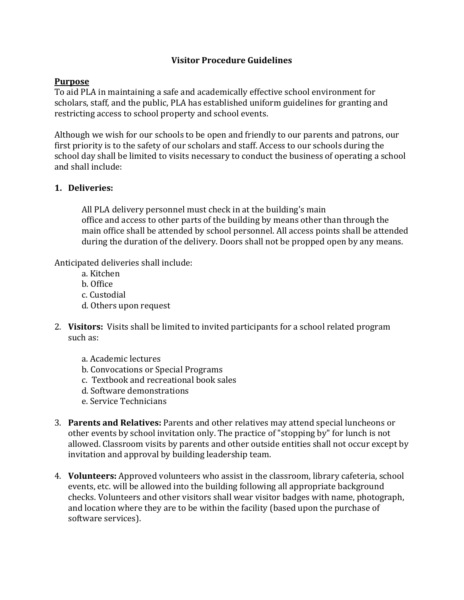#### **Visitor Procedure Guidelines**

#### **Purpose**

To aid PLA in maintaining a safe and academically effective school environment for scholars, staff, and the public, PLA has established uniform guidelines for granting and restricting access to school property and school events.

Although we wish for our schools to be open and friendly to our parents and patrons, our first priority is to the safety of our scholars and staff. Access to our schools during the school day shall be limited to visits necessary to conduct the business of operating a school and shall include:

#### **1. Deliveries:**

All PLA delivery personnel must check in at the building's main office and access to other parts of the building by means other than through the main office shall be attended by school personnel. All access points shall be attended during the duration of the delivery. Doors shall not be propped open by any means.

Anticipated deliveries shall include:

- a. Kitchen
- b. Office
- c. Custodial
- d. Others upon request
- 2. Visitors: Visits shall be limited to invited participants for a school related program such as:
	- a. Academic lectures
	- b. Convocations or Special Programs
	- c. Textbook and recreational book sales
	- d. Software demonstrations
	- e. Service Technicians
- 3. **Parents and Relatives:** Parents and other relatives may attend special luncheons or other events by school invitation only. The practice of "stopping by" for lunch is not allowed. Classroom visits by parents and other outside entities shall not occur except by invitation and approval by building leadership team.
- 4. **Volunteers:** Approved volunteers who assist in the classroom, library cafeteria, school events, etc. will be allowed into the building following all appropriate background checks. Volunteers and other visitors shall wear visitor badges with name, photograph, and location where they are to be within the facility (based upon the purchase of software services).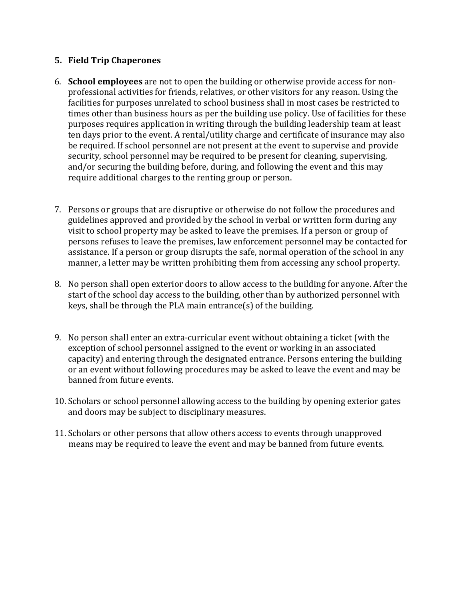#### **5. Field Trip Chaperones**

- 6. **School employees** are not to open the building or otherwise provide access for nonprofessional activities for friends, relatives, or other visitors for any reason. Using the facilities for purposes unrelated to school business shall in most cases be restricted to times other than business hours as per the building use policy. Use of facilities for these purposes requires application in writing through the building leadership team at least ten days prior to the event. A rental/utility charge and certificate of insurance may also be required. If school personnel are not present at the event to supervise and provide security, school personnel may be required to be present for cleaning, supervising, and/or securing the building before, during, and following the event and this may require additional charges to the renting group or person.
- 7. Persons or groups that are disruptive or otherwise do not follow the procedures and guidelines approved and provided by the school in verbal or written form during any visit to school property may be asked to leave the premises. If a person or group of persons refuses to leave the premises, law enforcement personnel may be contacted for assistance. If a person or group disrupts the safe, normal operation of the school in any manner, a letter may be written prohibiting them from accessing any school property.
- 8. No person shall open exterior doors to allow access to the building for anyone. After the start of the school day access to the building, other than by authorized personnel with keys, shall be through the PLA main entrance(s) of the building.
- 9. No person shall enter an extra-curricular event without obtaining a ticket (with the exception of school personnel assigned to the event or working in an associated capacity) and entering through the designated entrance. Persons entering the building or an event without following procedures may be asked to leave the event and may be banned from future events.
- 10. Scholars or school personnel allowing access to the building by opening exterior gates and doors may be subject to disciplinary measures.
- 11. Scholars or other persons that allow others access to events through unapproved means may be required to leave the event and may be banned from future events.